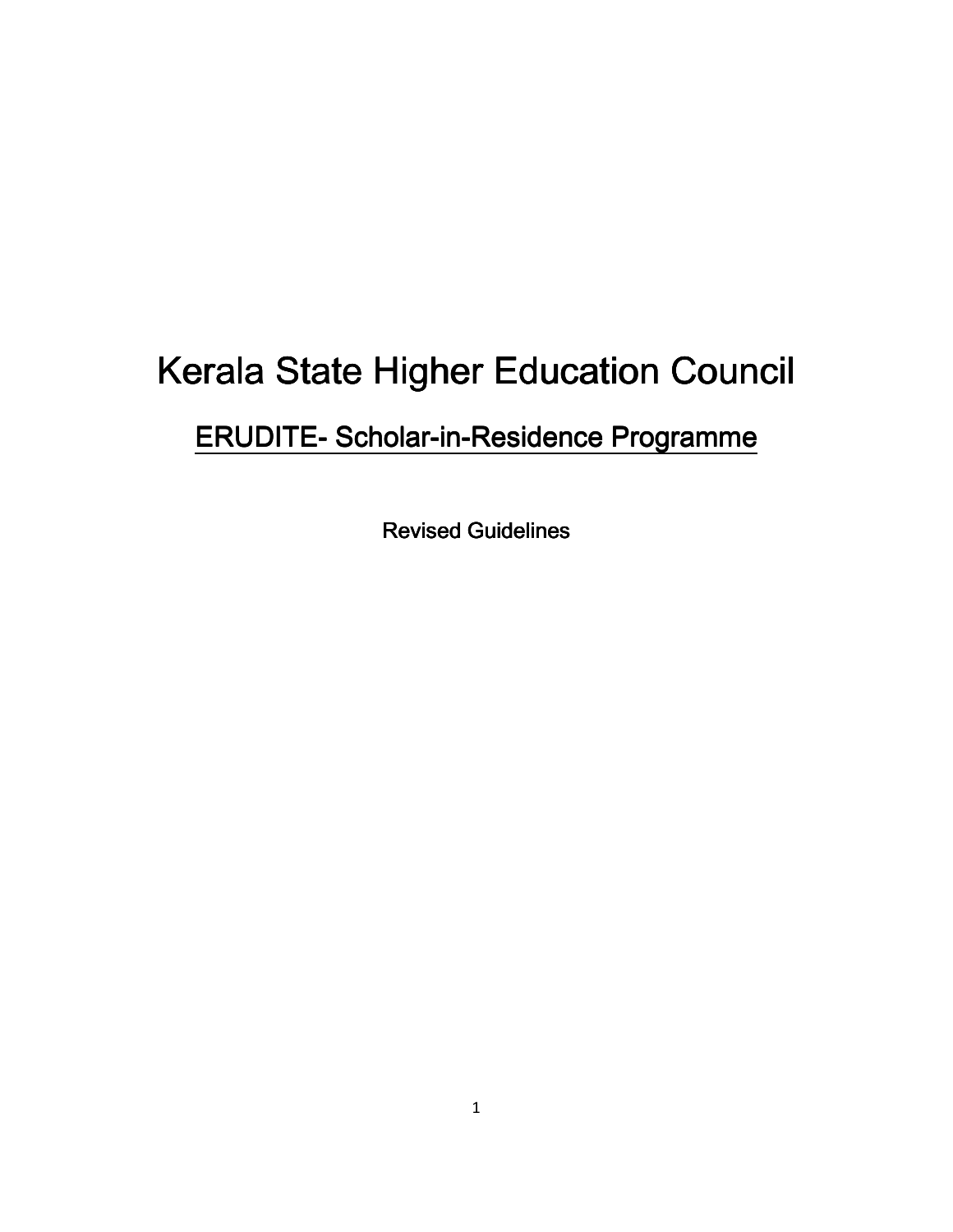# Kerala State Higher Education Council

# ERUDITE- Scholar-in-Residence Programme

**Revised Guidelines**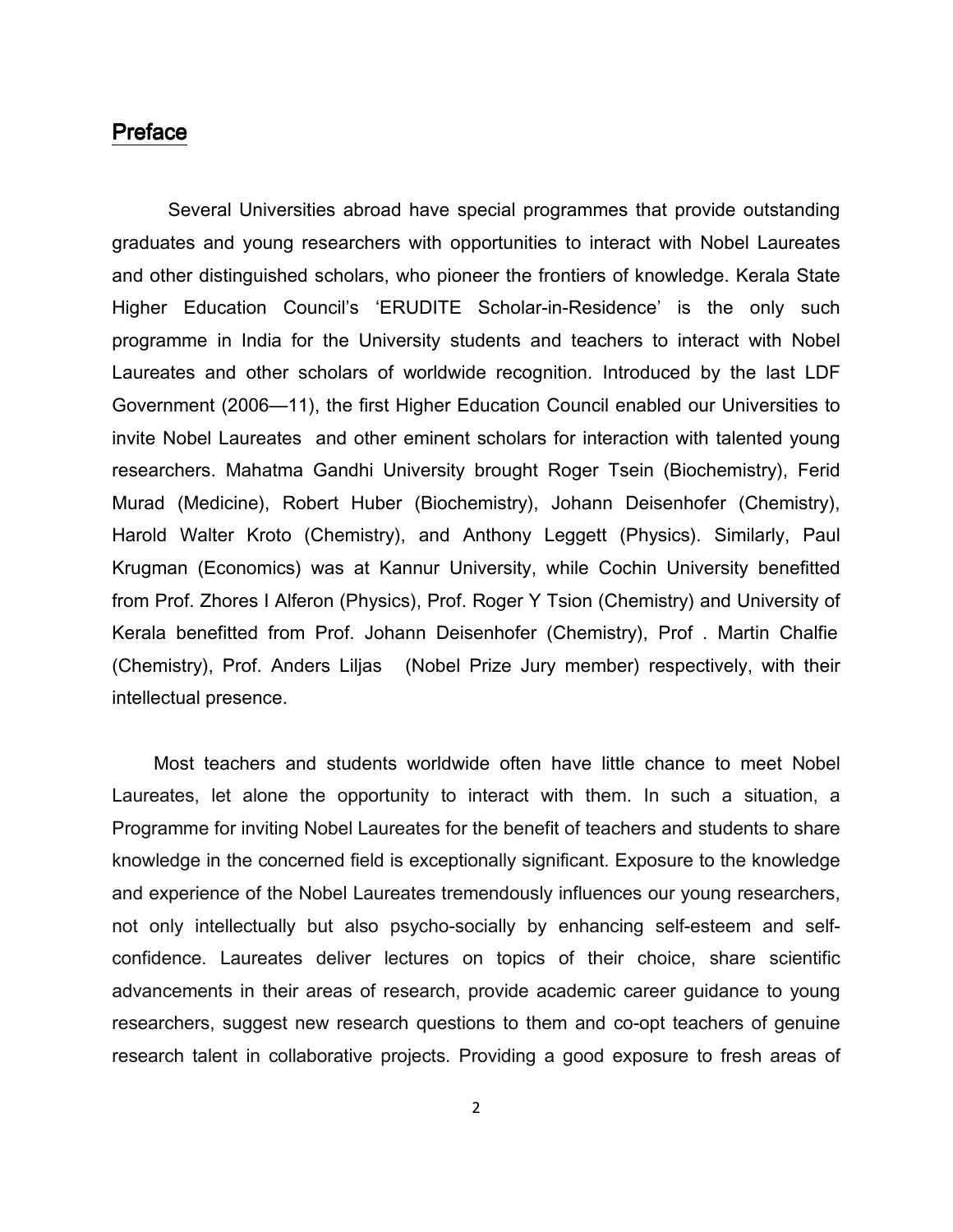#### Preface

Several Universities abroad have special programmes that provide outstanding graduates and young researchers with opportunities to interact with Nobel Laureates and other distinguished scholars, who pioneer the frontiers of knowledge. Kerala State Higher Education Council's 'ERUDITE Scholar-in-Residence' is the only such programme in India for the University students and teachers to interact with Nobel Laureates and other scholars of worldwide recognition. Introduced by the last LDF Government (2006—11), the first Higher Education Council enabled our Universities to invite Nobel Laureates and other eminent scholars for interaction with talented young researchers. Mahatma Gandhi University brought Roger Tsein (Biochemistry), Ferid Murad (Medicine), Robert Huber (Biochemistry), Johann Deisenhofer (Chemistry), Harold Walter Kroto (Chemistry), and Anthony Leggett (Physics). Similarly, Paul Krugman (Economics) was at Kannur University, while Cochin University benefitted from Prof. Zhores I Alferon (Physics), Prof. Roger Y Tsion (Chemistry) and University of Kerala benefitted from Prof. Johann Deisenhofer (Chemistry), Prof . Martin Chalfie (Chemistry), Prof. Anders Liljas (Nobel Prize Jury member) respectively, with their intellectual presence.

 Most teachers and students worldwide often have little chance to meet Nobel Laureates, let alone the opportunity to interact with them. In such a situation, a Programme for inviting Nobel Laureates for the benefit of teachers and students to share knowledge in the concerned field is exceptionally significant. Exposure to the knowledge and experience of the Nobel Laureates tremendously influences our young researchers, not only intellectually but also psycho-socially by enhancing self-esteem and selfconfidence. Laureates deliver lectures on topics of their choice, share scientific advancements in their areas of research, provide academic career guidance to young researchers, suggest new research questions to them and co-opt teachers of genuine research talent in collaborative projects. Providing a good exposure to fresh areas of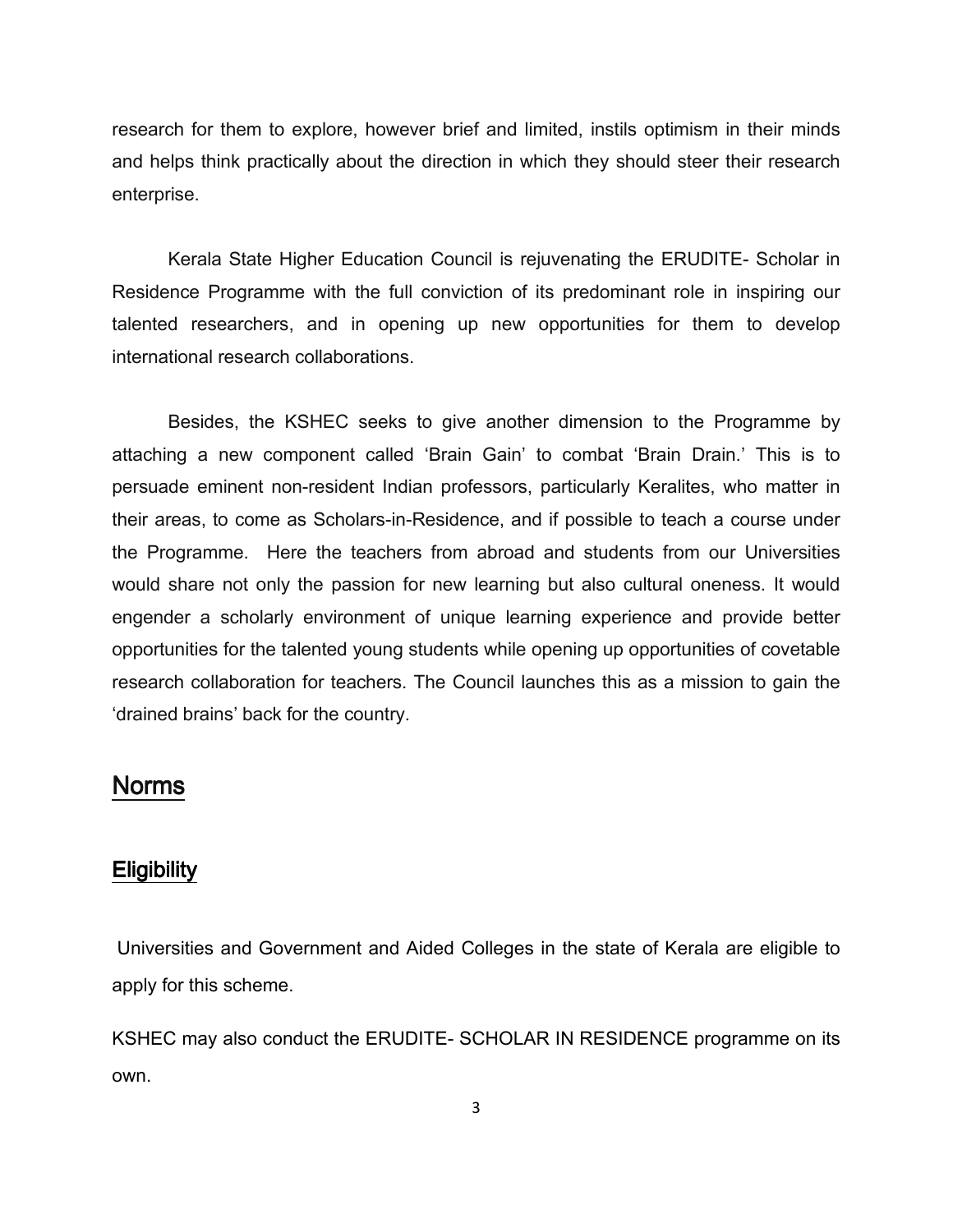research for them to explore, however brief and limited, instils optimism in their minds and helps think practically about the direction in which they should steer their research enterprise.

Kerala State Higher Education Council is rejuvenating the ERUDITE- Scholar in Residence Programme with the full conviction of its predominant role in inspiring our talented researchers, and in opening up new opportunities for them to develop international research collaborations.

Besides, the KSHEC seeks to give another dimension to the Programme by attaching a new component called 'Brain Gain' to combat 'Brain Drain.' This is to persuade eminent non-resident Indian professors, particularly Keralites, who matter in their areas, to come as Scholars-in-Residence, and if possible to teach a course under the Programme. Here the teachers from abroad and students from our Universities would share not only the passion for new learning but also cultural oneness. It would engender a scholarly environment of unique learning experience and provide better opportunities for the talented young students while opening up opportunities of covetable research collaboration for teachers. The Council launches this as a mission to gain the 'drained brains' back for the country.

# Norms

## **Eligibility**

 Universities and Government and Aided Colleges in the state of Kerala are eligible to apply for this scheme.

KSHEC may also conduct the ERUDITE- SCHOLAR IN RESIDENCE programme on its own.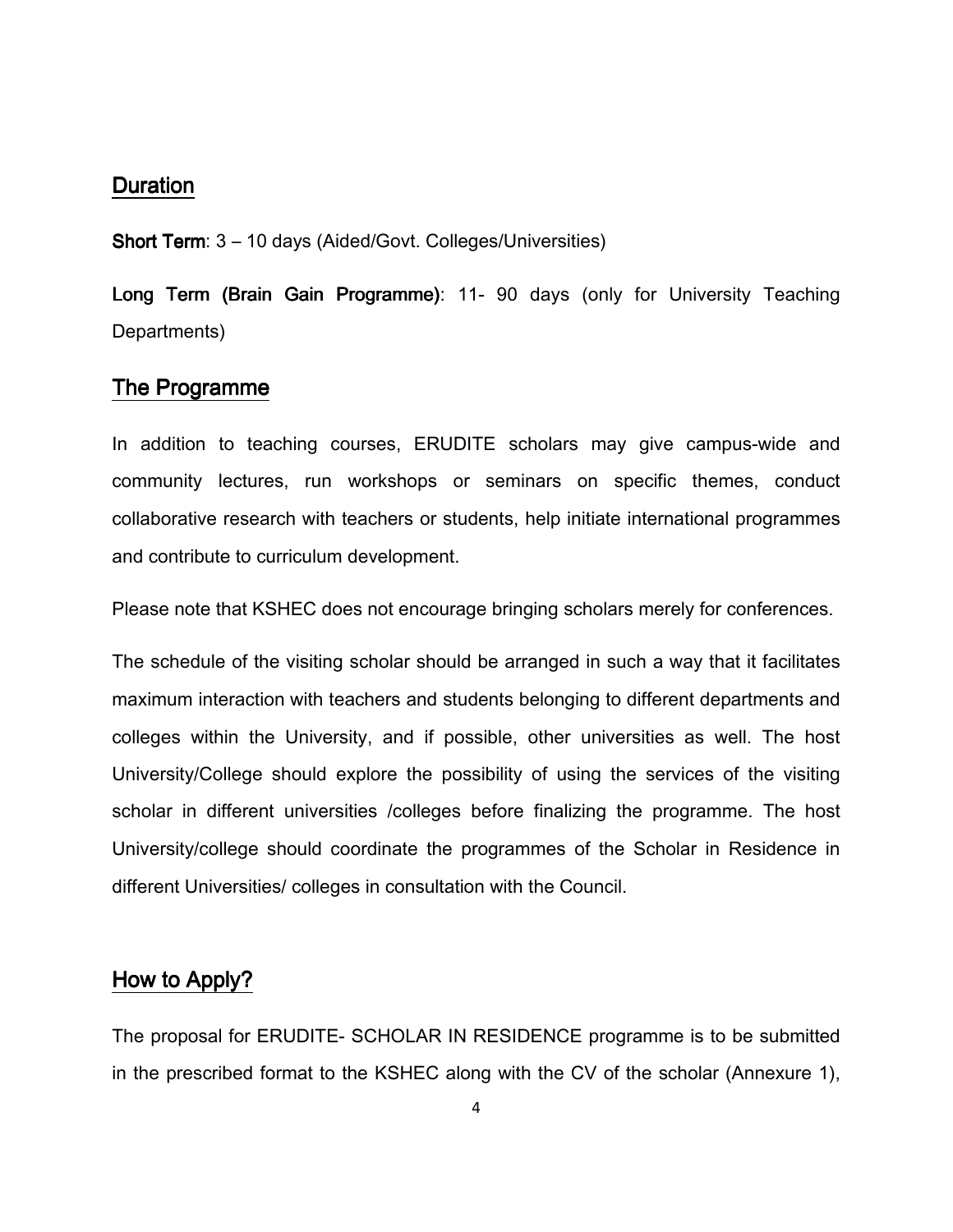#### Duration

Short Term: 3 – 10 days (Aided/Govt. Colleges/Universities)

Long Term (Brain Gain Programme): 11- 90 days (only for University Teaching Departments)

#### The Programme

In addition to teaching courses, ERUDITE scholars may give campus-wide and community lectures, run workshops or seminars on specific themes, conduct collaborative research with teachers or students, help initiate international programmes and contribute to curriculum development.

Please note that KSHEC does not encourage bringing scholars merely for conferences.

The schedule of the visiting scholar should be arranged in such a way that it facilitates maximum interaction with teachers and students belonging to different departments and colleges within the University, and if possible, other universities as well. The host University/College should explore the possibility of using the services of the visiting scholar in different universities /colleges before finalizing the programme. The host University/college should coordinate the programmes of the Scholar in Residence in different Universities/ colleges in consultation with the Council.

## How to Apply?

The proposal for ERUDITE- SCHOLAR IN RESIDENCE programme is to be submitted in the prescribed format to the KSHEC along with the CV of the scholar (Annexure 1),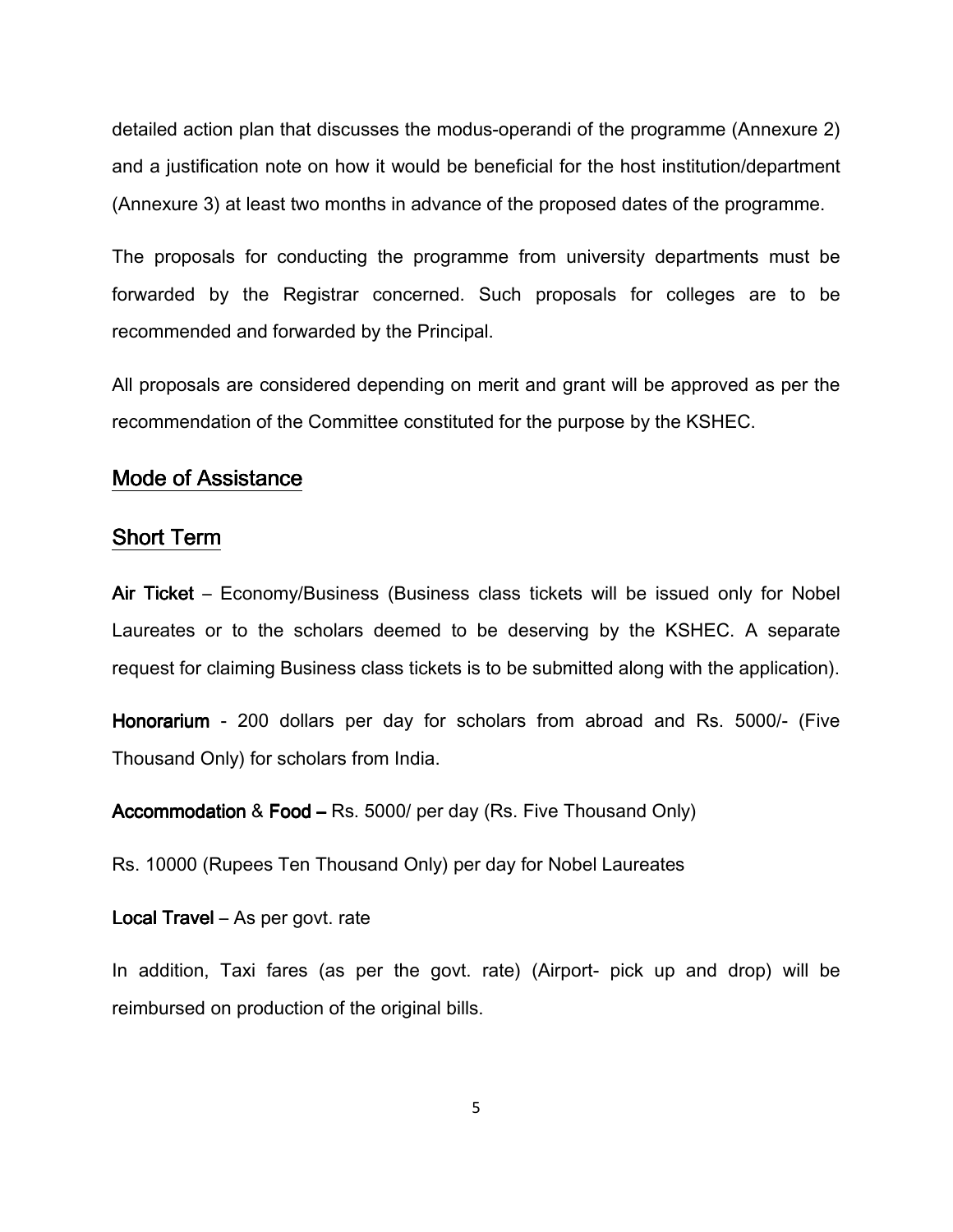detailed action plan that discusses the modus-operandi of the programme (Annexure 2) and a justification note on how it would be beneficial for the host institution/department (Annexure 3) at least two months in advance of the proposed dates of the programme.

The proposals for conducting the programme from university departments must be forwarded by the Registrar concerned. Such proposals for colleges are to be recommended and forwarded by the Principal.

All proposals are considered depending on merit and grant will be approved as per the recommendation of the Committee constituted for the purpose by the KSHEC.

#### Mode of Assistance

#### Short Term

Air Ticket – Economy/Business (Business class tickets will be issued only for Nobel Laureates or to the scholars deemed to be deserving by the KSHEC. A separate request for claiming Business class tickets is to be submitted along with the application).

Honorarium - 200 dollars per day for scholars from abroad and Rs. 5000/- (Five Thousand Only) for scholars from India.

Accommodation & Food – Rs. 5000/ per day (Rs. Five Thousand Only)

Rs. 10000 (Rupees Ten Thousand Only) per day for Nobel Laureates

Local Travel – As per govt. rate

In addition, Taxi fares (as per the govt. rate) (Airport- pick up and drop) will be reimbursed on production of the original bills.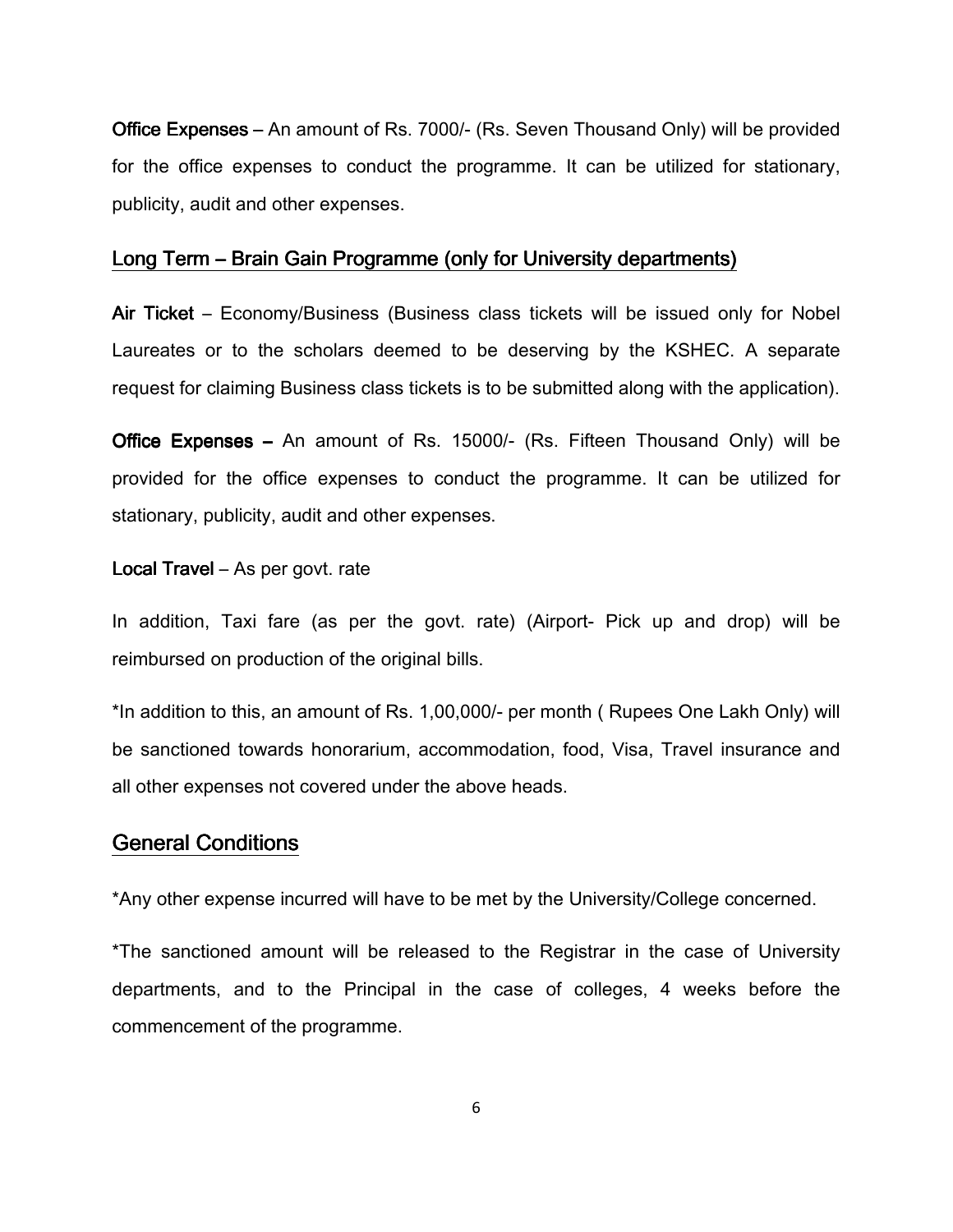Office Expenses – An amount of Rs. 7000/- (Rs. Seven Thousand Only) will be provided for the office expenses to conduct the programme. It can be utilized for stationary, publicity, audit and other expenses.

#### Long Term – Brain Gain Programme (only for University departments)

Air Ticket – Economy/Business (Business class tickets will be issued only for Nobel Laureates or to the scholars deemed to be deserving by the KSHEC. A separate request for claiming Business class tickets is to be submitted along with the application).

Office Expenses – An amount of Rs. 15000/- (Rs. Fifteen Thousand Only) will be provided for the office expenses to conduct the programme. It can be utilized for stationary, publicity, audit and other expenses.

#### **Local Travel** – As per govt. rate

In addition, Taxi fare (as per the govt. rate) (Airport- Pick up and drop) will be reimbursed on production of the original bills.

\*In addition to this, an amount of Rs. 1,00,000/- per month ( Rupees One Lakh Only) will be sanctioned towards honorarium, accommodation, food, Visa, Travel insurance and all other expenses not covered under the above heads.

#### General Conditions

\*Any other expense incurred will have to be met by the University/College concerned.

\*The sanctioned amount will be released to the Registrar in the case of University departments, and to the Principal in the case of colleges, 4 weeks before the commencement of the programme.

6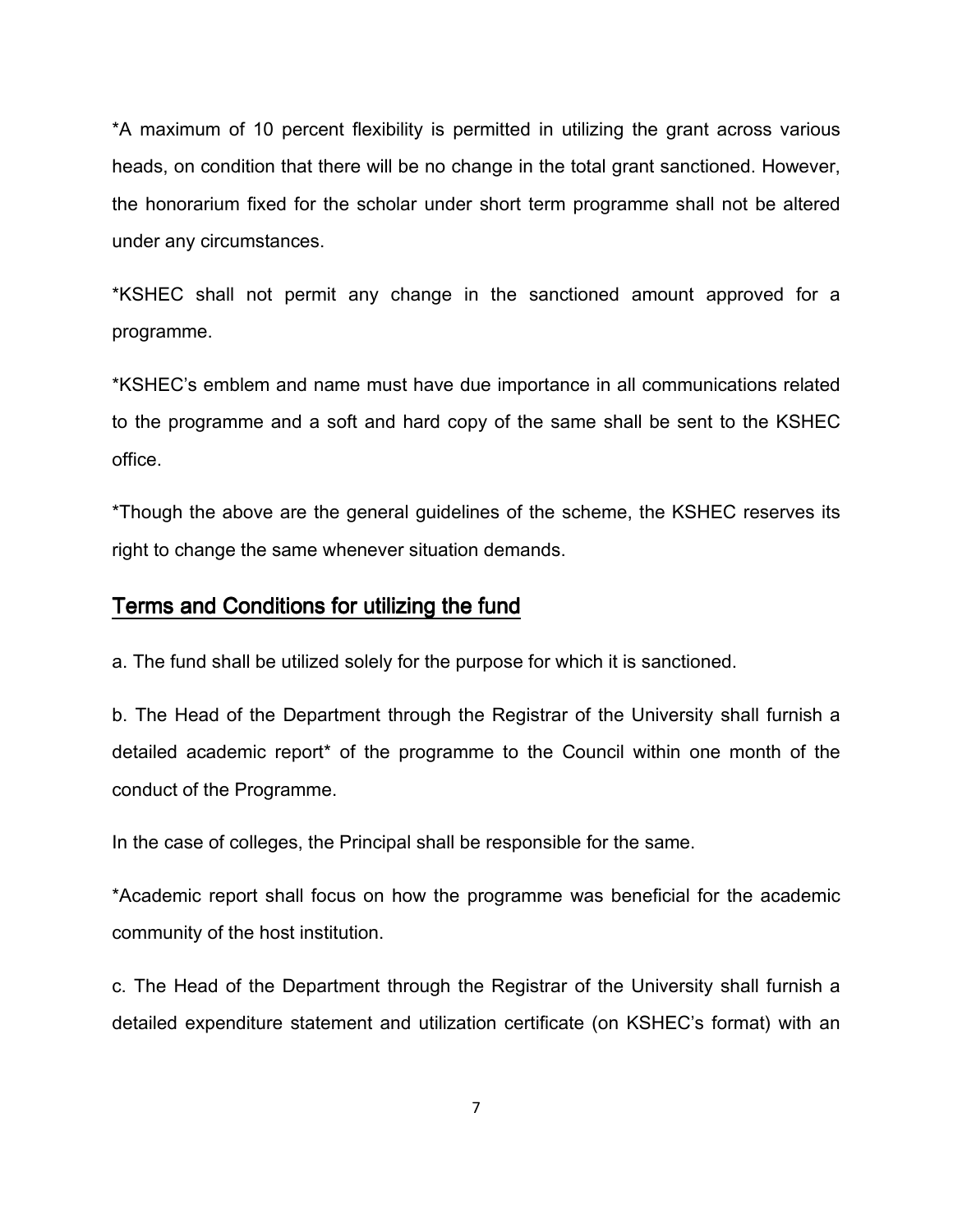\*A maximum of 10 percent flexibility is permitted in utilizing the grant across various heads, on condition that there will be no change in the total grant sanctioned. However, the honorarium fixed for the scholar under short term programme shall not be altered under any circumstances.

\*KSHEC shall not permit any change in the sanctioned amount approved for a programme.

\*KSHEC's emblem and name must have due importance in all communications related to the programme and a soft and hard copy of the same shall be sent to the KSHEC office.

\*Though the above are the general guidelines of the scheme, the KSHEC reserves its right to change the same whenever situation demands.

#### Terms and Conditions for utilizing the fund

a. The fund shall be utilized solely for the purpose for which it is sanctioned.

b. The Head of the Department through the Registrar of the University shall furnish a detailed academic report\* of the programme to the Council within one month of the conduct of the Programme.

In the case of colleges, the Principal shall be responsible for the same.

\*Academic report shall focus on how the programme was beneficial for the academic community of the host institution.

c. The Head of the Department through the Registrar of the University shall furnish a detailed expenditure statement and utilization certificate (on KSHEC's format) with an

7